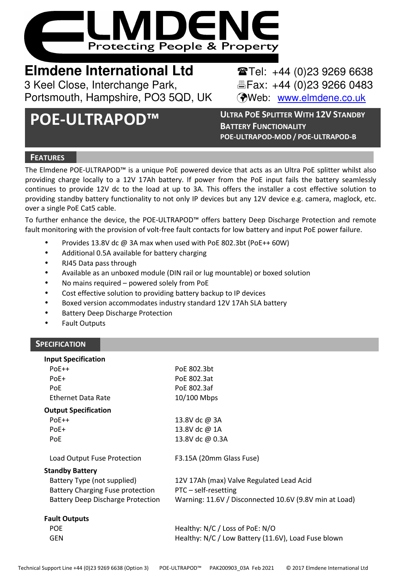

# **Elmdene International Ltd** <br> **Elmdene International Ltd** <br> **Elmdene** International Ltd

3 Keel Close, Interchange Park, Fax: +44 (0)23 9266 0483 Portsmouth, Hampshire, PO3 5QD, UK (Web: www.elmdene.co.uk

**POE-ULTRAPOD™ <sup>U</sup>LTRA PO<sup>E</sup> <sup>S</sup>PLITTER WITH 12V <sup>S</sup>TANDBY BATTERY FUNCTIONALITY POE-ULTRAPOD-MOD / POE-ULTRAPOD-B**

# **FEATURES**

The Elmdene POE-ULTRAPOD™ is a unique PoE powered device that acts as an Ultra PoE splitter whilst also providing charge locally to a 12V 17Ah battery. If power from the PoE input fails the battery seamlessly continues to provide 12V dc to the load at up to 3A. This offers the installer a cost effective solution to providing standby battery functionality to not only IP devices but any 12V device e.g. camera, maglock, etc. over a single PoE Cat5 cable.

To further enhance the device, the POE-ULTRAPOD™ offers battery Deep Discharge Protection and remote fault monitoring with the provision of volt-free fault contacts for low battery and input PoE power failure.

- Provides 13.8V dc @ 3A max when used with PoE 802.3bt (PoE++ 60W)
- Additional 0.5A available for battery charging
- RJ45 Data pass through
- Available as an unboxed module (DIN rail or lug mountable) or boxed solution
- No mains required powered solely from PoE
- Cost effective solution to providing battery backup to IP devices
- Boxed version accommodates industry standard 12V 17Ah SLA battery
- Battery Deep Discharge Protection
- Fault Outputs

# **SPECIFICATION**

| <b>Input Specification</b>               |                                                        |
|------------------------------------------|--------------------------------------------------------|
| $PoE++$                                  | PoE 802.3bt                                            |
| $PoE+$                                   | PoE 802.3at                                            |
| PoE                                      | PoE 802.3af                                            |
| Ethernet Data Rate                       | 10/100 Mbps                                            |
| <b>Output Specification</b>              |                                                        |
| $PoE++$                                  | 13.8V dc @ 3A                                          |
| $PoE+$                                   | 13.8V dc @ 1A                                          |
| PoE                                      | 13.8V dc @ 0.3A                                        |
|                                          |                                                        |
| Load Output Fuse Protection              | F3.15A (20mm Glass Fuse)                               |
| <b>Standby Battery</b>                   |                                                        |
| Battery Type (not supplied)              | 12V 17Ah (max) Valve Regulated Lead Acid               |
| Battery Charging Fuse protection         | PTC – self-resetting                                   |
| <b>Battery Deep Discharge Protection</b> | Warning: 11.6V / Disconnected 10.6V (9.8V min at Load) |
| <b>Fault Outputs</b>                     |                                                        |
| <b>POE</b>                               | Healthy: N/C / Loss of PoE: N/O                        |
| GEN                                      | Healthy: N/C / Low Battery (11.6V), Load Fuse blown    |
|                                          |                                                        |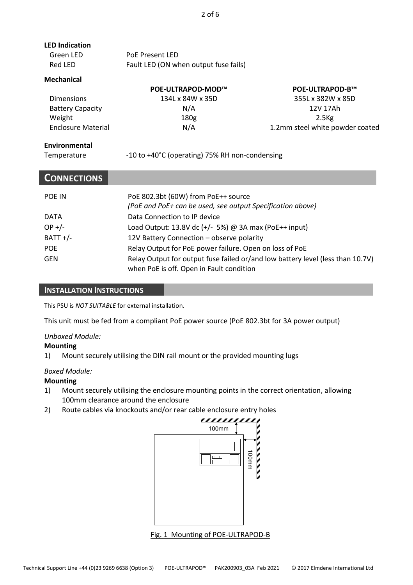| <b>LED Indication</b> |                                       |
|-----------------------|---------------------------------------|
| Green LED             | PoE Present LED                       |
| Red LED               | Fault LED (ON when output fuse fails) |

#### **Mechanical**

|                           | POE-ULTRAPOD-MOD™ | <b>POE-ULTRAPOD-B™</b>          |
|---------------------------|-------------------|---------------------------------|
| <b>Dimensions</b>         | 134L x 84W x 35D  | 355L x 382W x 85D               |
| <b>Battery Capacity</b>   | N/A               | 12V 17Ah                        |
| Weight                    | 180g              | $2.5$ Kg                        |
| <b>Enclosure Material</b> | N/A               | 1.2mm steel white powder coated |

### **Environmental**

| Temperature |
|-------------|
|             |

-10 to +40°C (operating) 75% RH non-condensing

# **CONNECTIONS**

| <b>POE IN</b> | PoE 802.3bt (60W) from PoE++ source<br>(PoE and PoE+ can be used, see output Specification above)                          |
|---------------|----------------------------------------------------------------------------------------------------------------------------|
| <b>DATA</b>   | Data Connection to IP device                                                                                               |
| $OP +/-$      | Load Output: 13.8V dc $(+/- 5%)$ @ 3A max (PoE $++$ input)                                                                 |
| $BATT +/-$    | 12V Battery Connection - observe polarity                                                                                  |
| <b>POE</b>    | Relay Output for PoE power failure. Open on loss of PoE                                                                    |
| GEN           | Relay Output for output fuse failed or/and low battery level (less than 10.7V)<br>when PoE is off. Open in Fault condition |

#### **INSTALLATION INSTRUCTIONS**

This PSU is *NOT SUITABLE* for external installation.

This unit must be fed from a compliant PoE power source (PoE 802.3bt for 3A power output)

#### *Unboxed Module:*

#### **Mounting**

1) Mount securely utilising the DIN rail mount or the provided mounting lugs

#### *Boxed Module:*

#### **Mounting**

- 1) Mount securely utilising the enclosure mounting points in the correct orientation, allowing 100mm clearance around the enclosure
- 2) Route cables via knockouts and/or rear cable enclosure entry holes



Fig. 1 Mounting of POE-ULTRAPOD-B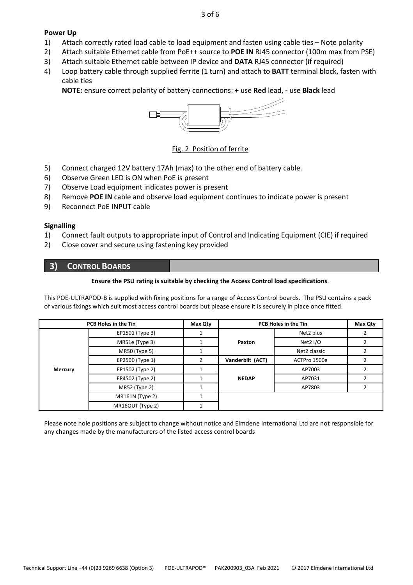#### **Power Up**

- 1) Attach correctly rated load cable to load equipment and fasten using cable ties Note polarity
- 2) Attach suitable Ethernet cable from PoE++ source to **POE IN** RJ45 connector (100m max from PSE)
- 3) Attach suitable Ethernet cable between IP device and **DATA** RJ45 connector (if required)
- 4) Loop battery cable through supplied ferrite (1 turn) and attach to **BATT** terminal block, fasten with cable ties

**NOTE:** ensure correct polarity of battery connections: **+** use **Red** lead, **-** use **Black** lead



### Fig. 2 Position of ferrite

- 5) Connect charged 12V battery 17Ah (max) to the other end of battery cable.
- 6) Observe Green LED is ON when PoE is present
- 7) Observe Load equipment indicates power is present
- 8) Remove **POE IN** cable and observe load equipment continues to indicate power is present
- 9) Reconnect PoE INPUT cable

#### **Signalling**

- 1) Connect fault outputs to appropriate input of Control and Indicating Equipment (CIE) if required
- 2) Close cover and secure using fastening key provided

# **3) CONTROL BOARDS**

#### **Ensure the PSU rating is suitable by checking the Access Control load specifications**.

This POE-ULTRAPOD-B is supplied with fixing positions for a range of Access Control boards. The PSU contains a pack of various fixings which suit most access control boards but please ensure it is securely in place once fitted.

|         | PCB Holes in the Tin | Max Qty |                  | PCB Holes in the Tin | Max Qty |
|---------|----------------------|---------|------------------|----------------------|---------|
|         | EP1501 (Type 3)      |         |                  | Net2 plus            |         |
|         | MR51e (Type 3)       |         | Paxton           | Net2 I/O             |         |
|         | MR50 (Type 5)        |         |                  | Net2 classic         |         |
|         | EP2500 (Type 1)      |         | Vanderbilt (ACT) | ACTPro 1500e         |         |
| Mercury | EP1502 (Type 2)      |         |                  | AP7003               |         |
|         | EP4502 (Type 2)      |         | <b>NEDAP</b>     | AP7031               |         |
|         | MR52 (Type 2)        |         |                  | AP7803               |         |
|         | MR161N (Type 2)      |         |                  |                      |         |
|         | MR16OUT (Type 2)     |         |                  |                      |         |

Please note hole positions are subject to change without notice and Elmdene International Ltd are not responsible for any changes made by the manufacturers of the listed access control boards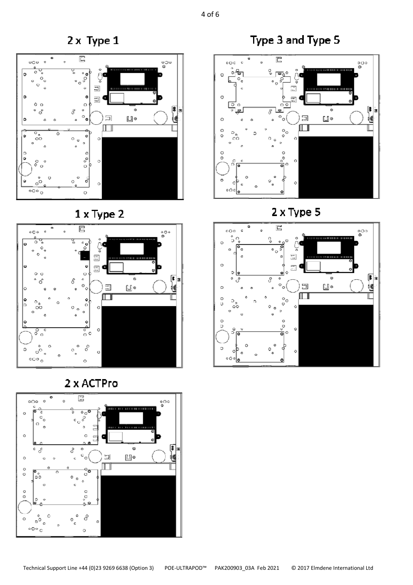$2 \times$  Type 1



 $1 \times Type 2$ 







Type 3 and Type 5



2 x Type 5

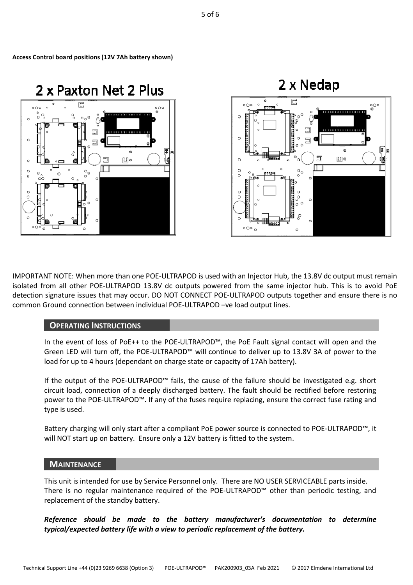$\theta$  $\alpha$ ś  $\circ \circ \circ$  $\overline{a}$ IMPORTANT NOTE: When more than one POE-ULTRAPOD is used with an Injector Hub, the 13.8V dc output must remain isolated from all other POE-ULTRAPOD 13.8V dc outputs powered from the same injector hub. This is to avoid PoE detection signature issues that may occur. DO NOT CONNECT POE-ULTRAPOD outputs together and ensure there is no

# **OPERATING INSTRUCTIONS**

common Ground connection between individual POE-ULTRAPOD –ve load output lines.

In the event of loss of PoE++ to the POE-ULTRAPOD™, the PoE Fault signal contact will open and the Green LED will turn off, the POE-ULTRAPOD™ will continue to deliver up to 13.8V 3A of power to the load for up to 4 hours (dependant on charge state or capacity of 17Ah battery).

If the output of the POE-ULTRAPOD™ fails, the cause of the failure should be investigated e.g. short circuit load, connection of a deeply discharged battery. The fault should be rectified before restoring power to the POE-ULTRAPOD™. If any of the fuses require replacing, ensure the correct fuse rating and type is used.

Battery charging will only start after a compliant PoE power source is connected to POE-ULTRAPOD™, it will NOT start up on battery. Ensure only a 12V battery is fitted to the system.

### **MAINTENANCE**

This unit is intended for use by Service Personnel only. There are NO USER SERVICEABLE parts inside. There is no regular maintenance required of the POE-ULTRAPOD™ other than periodic testing, and replacement of the standby battery.

*Reference should be made to the battery manufacturer's documentation to determine typical/expected battery life with a view to periodic replacement of the battery.* 

**Access Control board positions (12V 7Ah battery shown)**